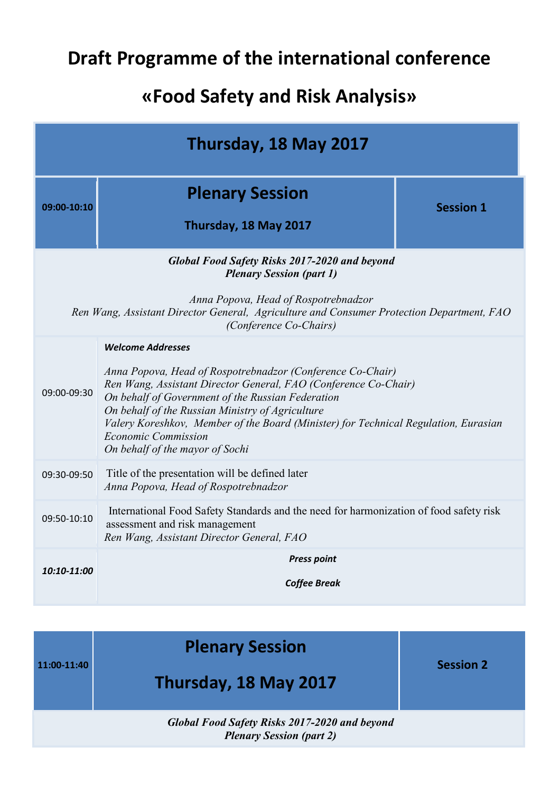## **Draft Programme of the international conference**

## **«Food Safety and Risk Analysis»**

| Thursday, 18 May 2017                                                                                                                                                                                                                                  |                                                                                                                                                                                                                                                                                                                                                                                                                            |                  |  |
|--------------------------------------------------------------------------------------------------------------------------------------------------------------------------------------------------------------------------------------------------------|----------------------------------------------------------------------------------------------------------------------------------------------------------------------------------------------------------------------------------------------------------------------------------------------------------------------------------------------------------------------------------------------------------------------------|------------------|--|
| 09:00-10:10                                                                                                                                                                                                                                            | <b>Plenary Session</b><br>Thursday, 18 May 2017                                                                                                                                                                                                                                                                                                                                                                            | <b>Session 1</b> |  |
| <b>Global Food Safety Risks 2017-2020 and beyond</b><br><b>Plenary Session (part 1)</b><br>Anna Popova, Head of Rospotrebnadzor<br>Ren Wang, Assistant Director General, Agriculture and Consumer Protection Department, FAO<br>(Conference Co-Chairs) |                                                                                                                                                                                                                                                                                                                                                                                                                            |                  |  |
| 09:00-09:30                                                                                                                                                                                                                                            | <b>Welcome Addresses</b><br>Anna Popova, Head of Rospotrebnadzor (Conference Co-Chair)<br>Ren Wang, Assistant Director General, FAO (Conference Co-Chair)<br>On behalf of Government of the Russian Federation<br>On behalf of the Russian Ministry of Agriculture<br>Valery Koreshkov, Member of the Board (Minister) for Technical Regulation, Eurasian<br><b>Economic Commission</b><br>On behalf of the mayor of Sochi |                  |  |
| 09:30-09:50                                                                                                                                                                                                                                            | Title of the presentation will be defined later<br>Anna Popova, Head of Rospotrebnadzor                                                                                                                                                                                                                                                                                                                                    |                  |  |
| 09:50-10:10                                                                                                                                                                                                                                            | International Food Safety Standards and the need for harmonization of food safety risk<br>assessment and risk management<br>Ren Wang, Assistant Director General, FAO                                                                                                                                                                                                                                                      |                  |  |
| 10:10-11:00                                                                                                                                                                                                                                            | <b>Press point</b><br><b>Coffee Break</b>                                                                                                                                                                                                                                                                                                                                                                                  |                  |  |
|                                                                                                                                                                                                                                                        |                                                                                                                                                                                                                                                                                                                                                                                                                            |                  |  |

| $11:00-11:40$ | <b>Plenary Session</b><br>Thursday, 18 May 2017 | <b>Session 2</b> |
|---------------|-------------------------------------------------|------------------|
|               |                                                 |                  |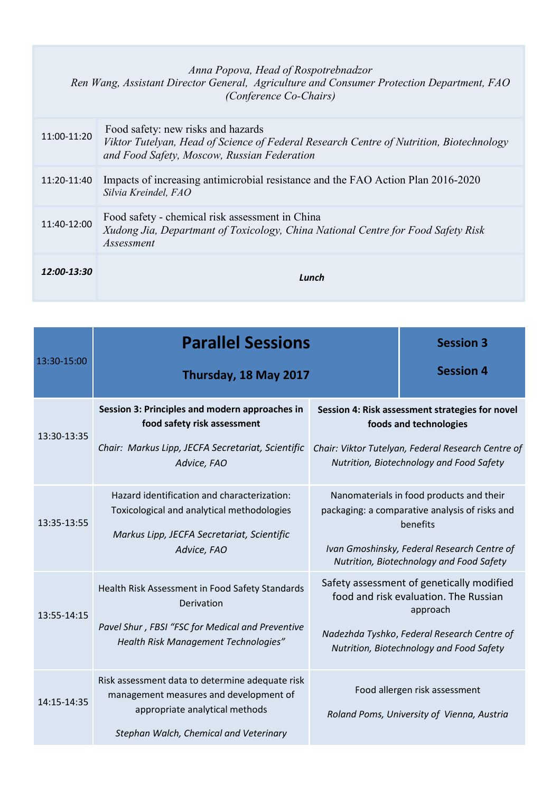## *Anna Popova, Head of Rospotrebnadzor Ren Wang, Assistant Director General, Agriculture and Consumer Protection Department, FAO (Conference Co-Chairs)*

| 11:00-11:20 | Food safety: new risks and hazards<br>Viktor Tutelyan, Head of Science of Federal Research Centre of Nutrition, Biotechnology<br>and Food Safety, Moscow, Russian Federation |
|-------------|------------------------------------------------------------------------------------------------------------------------------------------------------------------------------|
| 11:20-11:40 | Impacts of increasing antimicrobial resistance and the FAO Action Plan 2016-2020<br>Silvia Kreindel, FAO                                                                     |
| 11:40-12:00 | Food safety - chemical risk assessment in China<br>Xudong Jia, Departmant of Toxicology, China National Centre for Food Safety Risk<br><i>Assessment</i>                     |
| 12:00-13:30 | Lunch                                                                                                                                                                        |

|             | <b>Parallel Sessions</b>                                                                                                                                              |                                                                                                                                                                                                   | <b>Session 3</b>                                                            |
|-------------|-----------------------------------------------------------------------------------------------------------------------------------------------------------------------|---------------------------------------------------------------------------------------------------------------------------------------------------------------------------------------------------|-----------------------------------------------------------------------------|
| 13:30-15:00 | Thursday, 18 May 2017                                                                                                                                                 |                                                                                                                                                                                                   | <b>Session 4</b>                                                            |
| 13:30-13:35 | Session 3: Principles and modern approaches in<br>food safety risk assessment<br>Chair: Markus Lipp, JECFA Secretariat, Scientific<br>Advice, FAO                     | Session 4: Risk assessment strategies for novel<br>foods and technologies<br>Chair: Viktor Tutelyan, Federal Research Centre of<br>Nutrition, Biotechnology and Food Safety                       |                                                                             |
| 13:35-13:55 | Hazard identification and characterization:<br>Toxicological and analytical methodologies<br>Markus Lipp, JECFA Secretariat, Scientific<br>Advice, FAO                | Nanomaterials in food products and their<br>packaging: a comparative analysis of risks and<br>benefits<br>Ivan Gmoshinsky, Federal Research Centre of<br>Nutrition, Biotechnology and Food Safety |                                                                             |
| 13:55-14:15 | Health Risk Assessment in Food Safety Standards<br>Derivation<br>Pavel Shur, FBSI "FSC for Medical and Preventive<br>Health Risk Management Technologies"             | Safety assessment of genetically modified<br>food and risk evaluation. The Russian<br>approach<br>Nadezhda Tyshko, Federal Research Centre of<br>Nutrition, Biotechnology and Food Safety         |                                                                             |
| 14:15-14:35 | Risk assessment data to determine adequate risk<br>management measures and development of<br>appropriate analytical methods<br>Stephan Walch, Chemical and Veterinary |                                                                                                                                                                                                   | Food allergen risk assessment<br>Roland Poms, University of Vienna, Austria |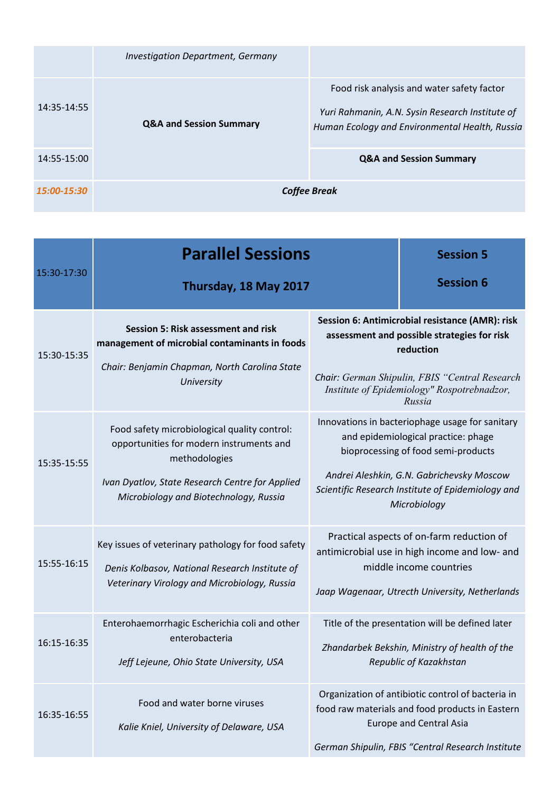|             | <b>Investigation Department, Germany</b> |                                                                                                                                                 |
|-------------|------------------------------------------|-------------------------------------------------------------------------------------------------------------------------------------------------|
| 14:35-14:55 | <b>Q&amp;A and Session Summary</b>       | Food risk analysis and water safety factor<br>Yuri Rahmanin, A.N. Sysin Research Institute of<br>Human Ecology and Environmental Health, Russia |
| 14:55-15:00 |                                          | <b>Q&amp;A and Session Summary</b>                                                                                                              |
| 15:00-15:30 |                                          | <b>Coffee Break</b>                                                                                                                             |

|             | <b>Parallel Sessions</b>                                                                                                                                                                               |                                                                                                                                                                                                                                                 | <b>Session 5</b>                                                                                                                                                                            |
|-------------|--------------------------------------------------------------------------------------------------------------------------------------------------------------------------------------------------------|-------------------------------------------------------------------------------------------------------------------------------------------------------------------------------------------------------------------------------------------------|---------------------------------------------------------------------------------------------------------------------------------------------------------------------------------------------|
| 15:30-17:30 | Thursday, 18 May 2017                                                                                                                                                                                  |                                                                                                                                                                                                                                                 | <b>Session 6</b>                                                                                                                                                                            |
| 15:30-15:35 | Session 5: Risk assessment and risk<br>management of microbial contaminants in foods<br>Chair: Benjamin Chapman, North Carolina State<br>University                                                    | Session 6: Antimicrobial resistance (AMR): risk<br>assessment and possible strategies for risk<br>reduction<br>Chair: German Shipulin, FBIS "Central Research<br>Institute of Epidemiology" Rospotrebnadzor,<br>Russia                          |                                                                                                                                                                                             |
| 15:35-15:55 | Food safety microbiological quality control:<br>opportunities for modern instruments and<br>methodologies<br>Ivan Dyatlov, State Research Centre for Applied<br>Microbiology and Biotechnology, Russia | Innovations in bacteriophage usage for sanitary<br>and epidemiological practice: phage<br>bioprocessing of food semi-products<br>Andrei Aleshkin, G.N. Gabrichevsky Moscow<br>Scientific Research Institute of Epidemiology and<br>Microbiology |                                                                                                                                                                                             |
| 15:55-16:15 | Key issues of veterinary pathology for food safety<br>Denis Kolbasov, National Research Institute of<br>Veterinary Virology and Microbiology, Russia                                                   | Practical aspects of on-farm reduction of<br>antimicrobial use in high income and low- and<br>middle income countries<br>Jaap Wagenaar, Utrecth University, Netherlands                                                                         |                                                                                                                                                                                             |
| 16:15-16:35 | Enterohaemorrhagic Escherichia coli and other<br>enterobacteria<br>Jeff Lejeune, Ohio State University, USA                                                                                            |                                                                                                                                                                                                                                                 | Title of the presentation will be defined later<br>Zhandarbek Bekshin, Ministry of health of the<br>Republic of Kazakhstan                                                                  |
| 16:35-16:55 | Food and water borne viruses<br>Kalie Kniel, University of Delaware, USA                                                                                                                               |                                                                                                                                                                                                                                                 | Organization of antibiotic control of bacteria in<br>food raw materials and food products in Eastern<br><b>Europe and Central Asia</b><br>German Shipulin, FBIS "Central Research Institute |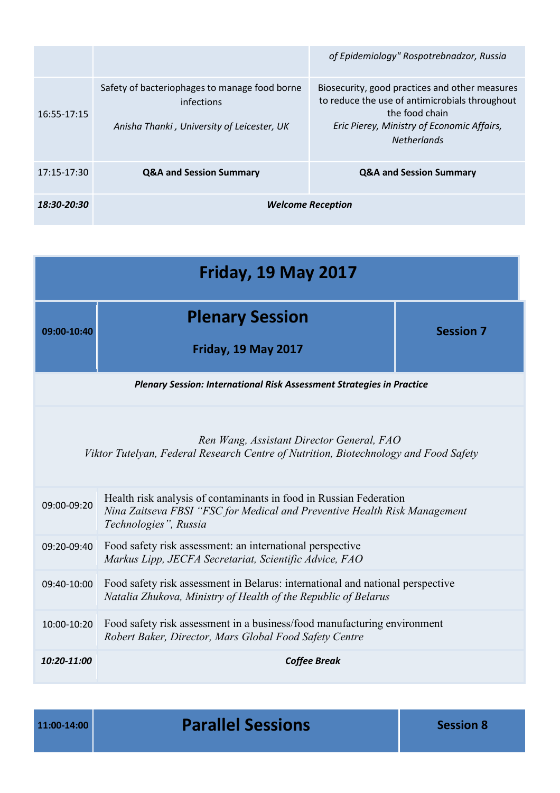|             |                                                                                                           | of Epidemiology" Rospotrebnadzor, Russia                                                                                                                                               |  |
|-------------|-----------------------------------------------------------------------------------------------------------|----------------------------------------------------------------------------------------------------------------------------------------------------------------------------------------|--|
| 16:55-17:15 | Safety of bacteriophages to manage food borne<br>infections<br>Anisha Thanki, University of Leicester, UK | Biosecurity, good practices and other measures<br>to reduce the use of antimicrobials throughout<br>the food chain<br>Eric Pierey, Ministry of Economic Affairs,<br><b>Netherlands</b> |  |
| 17:15-17:30 | <b>Q&amp;A and Session Summary</b>                                                                        | <b>Q&amp;A and Session Summary</b>                                                                                                                                                     |  |
| 18:30-20:30 | <b>Welcome Reception</b>                                                                                  |                                                                                                                                                                                        |  |

| <b>Friday, 19 May 2017</b>                                                                                                                                      |                                                                                                                                                                          |                  |  |
|-----------------------------------------------------------------------------------------------------------------------------------------------------------------|--------------------------------------------------------------------------------------------------------------------------------------------------------------------------|------------------|--|
| 09:00-10:40                                                                                                                                                     | <b>Plenary Session</b><br><b>Friday, 19 May 2017</b>                                                                                                                     | <b>Session 7</b> |  |
|                                                                                                                                                                 | <b>Plenary Session: International Risk Assessment Strategies in Practice</b>                                                                                             |                  |  |
| Ren Wang, Assistant Director General, FAO<br>Viktor Tutelyan, Federal Research Centre of Nutrition, Biotechnology and Food Safety                               |                                                                                                                                                                          |                  |  |
| 09:00-09:20                                                                                                                                                     | Health risk analysis of contaminants in food in Russian Federation<br>Nina Zaitseva FBSI "FSC for Medical and Preventive Health Risk Management<br>Technologies", Russia |                  |  |
| 09:20-09:40                                                                                                                                                     | Food safety risk assessment: an international perspective<br>Markus Lipp, JECFA Secretariat, Scientific Advice, FAO                                                      |                  |  |
| Food safety risk assessment in Belarus: international and national perspective<br>09:40-10:00<br>Natalia Zhukova, Ministry of Health of the Republic of Belarus |                                                                                                                                                                          |                  |  |
| Food safety risk assessment in a business/food manufacturing environment<br>10:00-10:20<br>Robert Baker, Director, Mars Global Food Safety Centre               |                                                                                                                                                                          |                  |  |
| 10:20-11:00<br><b>Coffee Break</b>                                                                                                                              |                                                                                                                                                                          |                  |  |

**11:00-14:00 Parallel Sessions Session 8**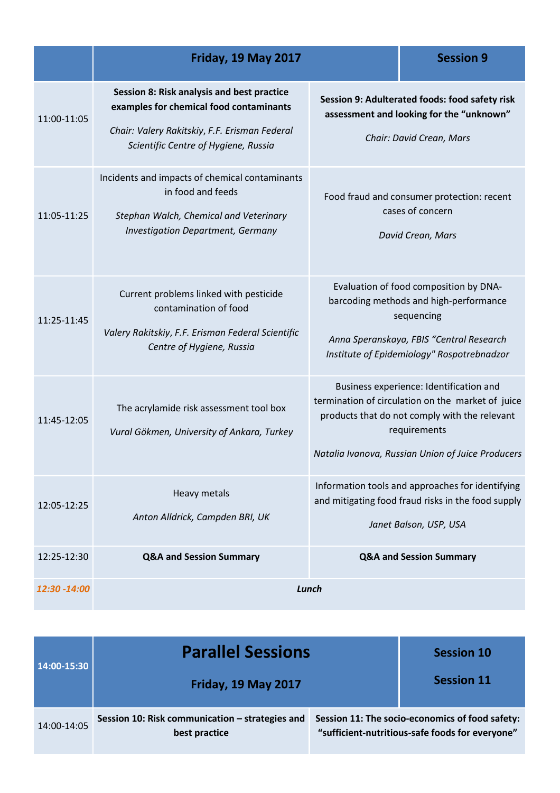|              | <b>Friday, 19 May 2017</b>                                                                                                                                                     |                                                                                                                        | <b>Session 9</b>                                                                                                                                                                                                   |
|--------------|--------------------------------------------------------------------------------------------------------------------------------------------------------------------------------|------------------------------------------------------------------------------------------------------------------------|--------------------------------------------------------------------------------------------------------------------------------------------------------------------------------------------------------------------|
| 11:00-11:05  | Session 8: Risk analysis and best practice<br>examples for chemical food contaminants<br>Chair: Valery Rakitskiy, F.F. Erisman Federal<br>Scientific Centre of Hygiene, Russia | Session 9: Adulterated foods: food safety risk<br>assessment and looking for the "unknown"<br>Chair: David Crean, Mars |                                                                                                                                                                                                                    |
| 11:05-11:25  | Incidents and impacts of chemical contaminants<br>in food and feeds<br>Stephan Walch, Chemical and Veterinary<br><b>Investigation Department, Germany</b>                      | Food fraud and consumer protection: recent<br>cases of concern<br>David Crean, Mars                                    |                                                                                                                                                                                                                    |
| 11:25-11:45  | Current problems linked with pesticide<br>contamination of food<br>Valery Rakitskiy, F.F. Erisman Federal Scientific<br>Centre of Hygiene, Russia                              |                                                                                                                        | Evaluation of food composition by DNA-<br>barcoding methods and high-performance<br>sequencing<br>Anna Speranskaya, FBIS "Central Research<br>Institute of Epidemiology" Rospotrebnadzor                           |
| 11:45-12:05  | The acrylamide risk assessment tool box<br>Vural Gökmen, University of Ankara, Turkey                                                                                          |                                                                                                                        | Business experience: Identification and<br>termination of circulation on the market of juice<br>products that do not comply with the relevant<br>requirements<br>Natalia Ivanova, Russian Union of Juice Producers |
| 12:05-12:25  | Heavy metals<br>Anton Alldrick, Campden BRI, UK                                                                                                                                |                                                                                                                        | Information tools and approaches for identifying<br>and mitigating food fraud risks in the food supply<br>Janet Balson, USP, USA                                                                                   |
| 12:25-12:30  | <b>Q&amp;A and Session Summary</b>                                                                                                                                             |                                                                                                                        | <b>Q&amp;A and Session Summary</b>                                                                                                                                                                                 |
| 12:30 -14:00 | Lunch                                                                                                                                                                          |                                                                                                                        |                                                                                                                                                                                                                    |

| 14:00-15:30 | <b>Parallel Sessions</b>                                         |  | <b>Session 10</b>                                                                                  |
|-------------|------------------------------------------------------------------|--|----------------------------------------------------------------------------------------------------|
|             | <b>Friday, 19 May 2017</b>                                       |  | <b>Session 11</b>                                                                                  |
| 14:00-14:05 | Session 10: Risk communication - strategies and<br>best practice |  | Session 11: The socio-economics of food safety:<br>"sufficient-nutritious-safe foods for everyone" |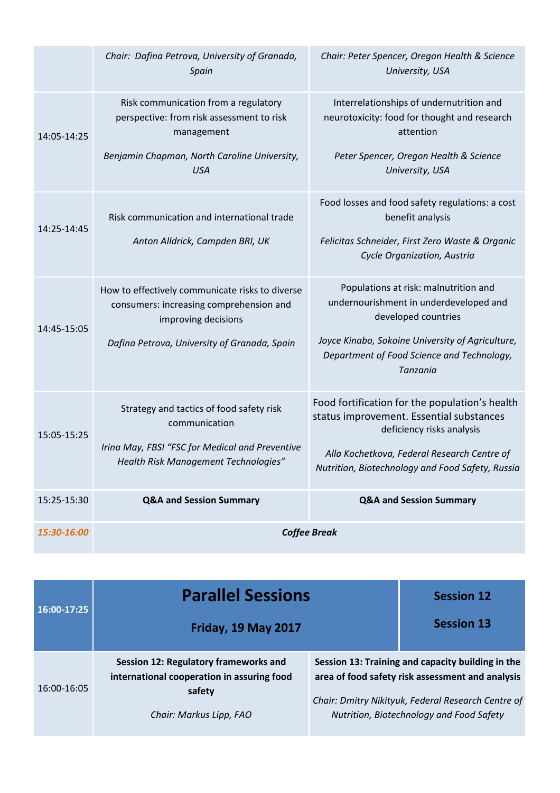|             | Chair: Dafina Petrova, University of Granada,<br>Spain                                                                                                            | Chair: Peter Spencer, Oregon Health & Science<br>University, USA                                                                                                                                                           |  |
|-------------|-------------------------------------------------------------------------------------------------------------------------------------------------------------------|----------------------------------------------------------------------------------------------------------------------------------------------------------------------------------------------------------------------------|--|
| 14:05-14:25 | Risk communication from a regulatory<br>perspective: from risk assessment to risk<br>management<br>Benjamin Chapman, North Caroline University,<br><b>USA</b>     | Interrelationships of undernutrition and<br>neurotoxicity: food for thought and research<br>attention<br>Peter Spencer, Oregon Health & Science<br>University, USA                                                         |  |
| 14:25-14:45 | Risk communication and international trade<br>Anton Alldrick, Campden BRI, UK                                                                                     | Food losses and food safety regulations: a cost<br>benefit analysis<br>Felicitas Schneider, First Zero Waste & Organic<br>Cycle Organization, Austria                                                                      |  |
| 14:45-15:05 | How to effectively communicate risks to diverse<br>consumers: increasing comprehension and<br>improving decisions<br>Dafina Petrova, University of Granada, Spain | Populations at risk: malnutrition and<br>undernourishment in underdeveloped and<br>developed countries<br>Joyce Kinabo, Sokoine University of Agriculture,<br>Department of Food Science and Technology,<br>Tanzania       |  |
| 15:05-15:25 | Strategy and tactics of food safety risk<br>communication<br>Irina May, FBSI "FSC for Medical and Preventive<br>Health Risk Management Technologies"              | Food fortification for the population's health<br>status improvement. Essential substances<br>deficiency risks analysis<br>Alla Kochetkova, Federal Research Centre of<br>Nutrition, Biotechnology and Food Safety, Russia |  |
| 15:25-15:30 | <b>Q&amp;A and Session Summary</b>                                                                                                                                | <b>Q&amp;A and Session Summary</b>                                                                                                                                                                                         |  |
| 15:30-16:00 | <b>Coffee Break</b>                                                                                                                                               |                                                                                                                                                                                                                            |  |

| 16:00-17:25 | <b>Parallel Sessions</b>                                                                                                 |                                                                                                                                                                                                         | <b>Session 12</b> |
|-------------|--------------------------------------------------------------------------------------------------------------------------|---------------------------------------------------------------------------------------------------------------------------------------------------------------------------------------------------------|-------------------|
|             | <b>Friday, 19 May 2017</b>                                                                                               |                                                                                                                                                                                                         | <b>Session 13</b> |
| 16:00-16:05 | Session 12: Regulatory frameworks and<br>international cooperation in assuring food<br>safety<br>Chair: Markus Lipp, FAO | Session 13: Training and capacity building in the<br>area of food safety risk assessment and analysis<br>Chair: Dmitry Nikityuk, Federal Research Centre of<br>Nutrition, Biotechnology and Food Safety |                   |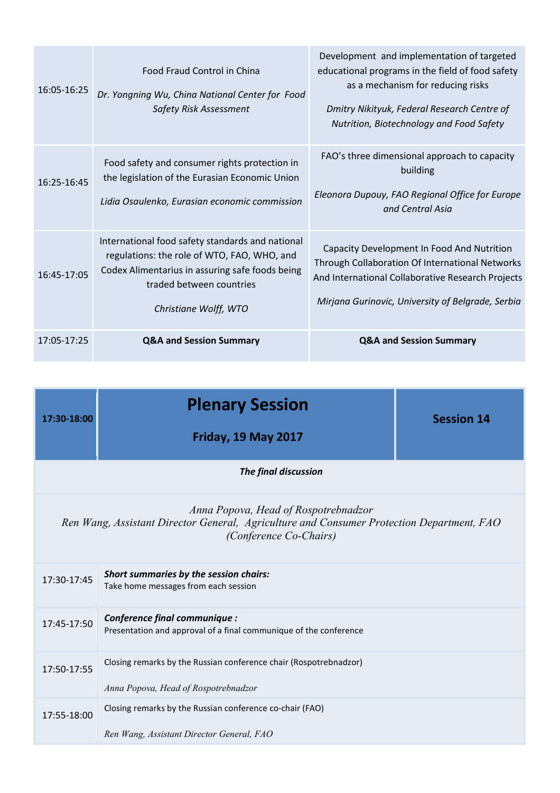| 16:05-16:25 | Food Fraud Control in China<br>Dr. Yongning Wu, China National Center for Food<br>Safety Risk Assessment                                                                                                | Development and implementation of targeted<br>educational programs in the field of food safety<br>as a mechanism for reducing risks<br>Dmitry Nikityuk, Federal Research Centre of<br>Nutrition, Biotechnology and Food Safety |
|-------------|---------------------------------------------------------------------------------------------------------------------------------------------------------------------------------------------------------|--------------------------------------------------------------------------------------------------------------------------------------------------------------------------------------------------------------------------------|
| 16:25-16:45 | Food safety and consumer rights protection in<br>the legislation of the Eurasian Economic Union<br>Lidia Osaulenko, Eurasian economic commission                                                        | FAO's three dimensional approach to capacity<br>building<br>Eleonora Dupouy, FAO Regional Office for Europe<br>and Central Asia                                                                                                |
| 16:45-17:05 | International food safety standards and national<br>regulations: the role of WTO, FAO, WHO, and<br>Codex Alimentarius in assuring safe foods being<br>traded between countries<br>Christiane Wolff, WTO | Capacity Development In Food And Nutrition<br>Through Collaboration Of International Networks<br>And International Collaborative Research Projects<br>Mirjana Gurinovic, University of Belgrade, Serbia                        |
| 17:05-17:25 | <b>Q&amp;A and Session Summary</b>                                                                                                                                                                      | <b>Q&amp;A and Session Summary</b>                                                                                                                                                                                             |

| 17:30-18:00                                                                                                                                                 | <b>Plenary Session</b>                                                                                    | <b>Session 14</b> |  |  |
|-------------------------------------------------------------------------------------------------------------------------------------------------------------|-----------------------------------------------------------------------------------------------------------|-------------------|--|--|
|                                                                                                                                                             | <b>Friday, 19 May 2017</b>                                                                                |                   |  |  |
| The final discussion                                                                                                                                        |                                                                                                           |                   |  |  |
| Anna Popova, Head of Rospotrebnadzor<br>Ren Wang, Assistant Director General, Agriculture and Consumer Protection Department, FAO<br>(Conference Co-Chairs) |                                                                                                           |                   |  |  |
| 17:30-17:45                                                                                                                                                 | Short summaries by the session chairs:<br>Take home messages from each session                            |                   |  |  |
| 17:45-17:50                                                                                                                                                 | Conference final communique :<br>Presentation and approval of a final communique of the conference        |                   |  |  |
| 17:50-17:55                                                                                                                                                 | Closing remarks by the Russian conference chair (Rospotrebnadzor)<br>Anna Popova, Head of Rospotrebnadzor |                   |  |  |
| 17:55-18:00                                                                                                                                                 | Closing remarks by the Russian conference co-chair (FAO)<br>Ren Wang, Assistant Director General, FAO     |                   |  |  |